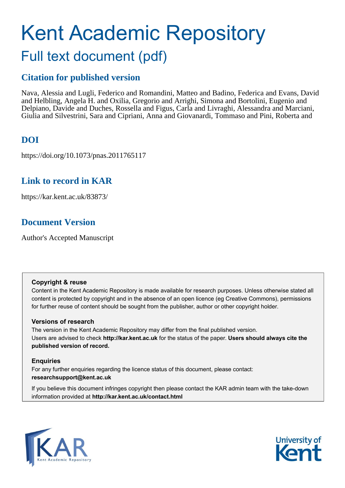# Kent Academic Repository Full text document (pdf)

# **Citation for published version**

Nava, Alessia and Lugli, Federico and Romandini, Matteo and Badino, Federica and Evans, David and Helbling, Angela H. and Oxilia, Gregorio and Arrighi, Simona and Bortolini, Eugenio and Delpiano, Davide and Duches, Rossella and Figus, Carla and Livraghi, Alessandra and Marciani, Giulia and Silvestrini, Sara and Cipriani, Anna and Giovanardi, Tommaso and Pini, Roberta and

# **DOI**

https://doi.org/10.1073/pnas.2011765117

# **Link to record in KAR**

https://kar.kent.ac.uk/83873/

# **Document Version**

Author's Accepted Manuscript

#### **Copyright & reuse**

Content in the Kent Academic Repository is made available for research purposes. Unless otherwise stated all content is protected by copyright and in the absence of an open licence (eg Creative Commons), permissions for further reuse of content should be sought from the publisher, author or other copyright holder.

#### **Versions of research**

The version in the Kent Academic Repository may differ from the final published version. Users are advised to check **http://kar.kent.ac.uk** for the status of the paper. **Users should always cite the published version of record.**

#### **Enquiries**

For any further enquiries regarding the licence status of this document, please contact: **researchsupport@kent.ac.uk**

If you believe this document infringes copyright then please contact the KAR admin team with the take-down information provided at **http://kar.kent.ac.uk/contact.html**



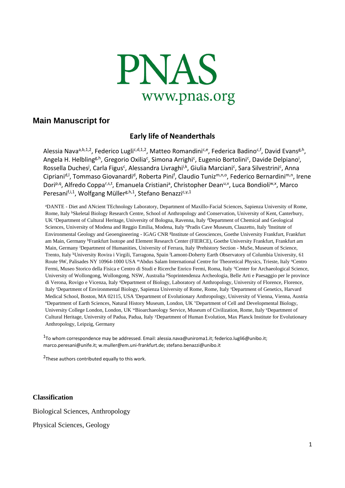

## **Main Manuscript for**

### **Early life of Neanderthals**

Alessia Nava<sup>a,b,1,2</sup>, Federico Lugli<sup>c,d,1,2</sup>, Matteo Romandini<sup>c,e</sup>, Federica Badino<sup>c,f</sup>, David Evans<sup>g,h</sup>, Angela H. Helbling<sup>g,h</sup>, Gregorio Oxilia<sup>c</sup>, Simona Arrighi<sup>c</sup>, Eugenio Bortolini<sup>c</sup>, Davide Delpiano<sup>i</sup>, Rossella Duches<sup>j</sup>, Carla Figus<sup>c</sup>, Alessandra Livraghi<sup>i,k</sup>, Giulia Marciani<sup>c</sup>, Sara Silvestrini<sup>c</sup>, Anna Cipriani<sup>d, I</sup>, Tommaso Giovanardi<sup>d</sup>, Roberta Pini<sup>f</sup>, Claudio Tuniz<sup>m,n,o</sup>, Federico Bernardini<sup>m,n</sup>, Irene Dori<sup>p,q</sup>, Alfredo Coppa<sup>r,s,t</sup>, Emanuela Cristiani<sup>a</sup>, Christopher Dean<sup>u,v</sup>, Luca Bondioli<sup>w,x</sup>, Marco Peresani<sup>f,i,1</sup>, Wolfgang Müller<sup>g,h,1</sup>, Stefano Benazzi<sup>c,y,1</sup>

<sup>a</sup>DANTE - Diet and ANcient TEchnology Laboratory, Department of Maxillo-Facial Sciences, Sapienza University of Rome, Rome, Italy <sup>b</sup>Skeletal Biology Research Centre, School of Anthropology and Conservation, University of Kent, Canterbury, UK <sup>c</sup>Department of Cultural Heritage, University of Bologna, Ravenna, Italy <sup>d</sup>Department of Chemical and Geological Sciences, University of Modena and Reggio Emilia, Modena, Italy ePradis Cave Museum, Clauzetto, Italy <sup>f</sup>Institute of Environmental Geology and Geoengineering - IGAG CNR <sup>g</sup>Institute of Geosciences, Goethe University Frankfurt, Frankfurt am Main, Germany <sup>h</sup>Frankfurt Isotope and Element Research Center (FIERCE), Goethe University Frankfurt, Frankfurt am Main, Germany <sup>i</sup>Department of Humanities, University of Ferrara, Italy <sup>j</sup>Prehistory Section - MuSe, Museum of Science, Trento, Italy <sup>k</sup>University Rovira i Virgili, Tarragona, Spain <sup>1</sup>Lamont-Doherty Earth Observatory of Columbia University, 61 Route 9W, Palisades NY 10964-1000 USA <sup>m</sup>Abdus Salam International Centre for Theoretical Physics, Trieste, Italy <sup>n</sup>Centro Fermi, Museo Storico della Fisica e Centro di Studi e Ricerche Enrico Fermi, Roma, Italy <sup>o</sup>Center for Archaeological Science, University of Wollongong, Wollongong, NSW, Australia <sup>p</sup>Soprintendenza Archeologia, Belle Arti e Paesaggio per le province di Verona, Rovigo e Vicenza, Italy <sup>q</sup>Department of Biology, Laboratory of Anthropology, University of Florence, Florence, Italy <sup>r</sup>Department of Environmental Biology, Sapienza University of Rome, Rome, Italy <sup>s</sup>Department of Genetics, Harvard Medical School, Boston, MA 02115, USA 'Department of Evolutionary Anthropology, University of Vienna, Vienna, Austria <sup>u</sup>Department of Earth Sciences, Natural History Museum, London, UK <sup>v</sup>Department of Cell and Developmental Biology, University College London, London, UK "Bioarchaeology Service, Museum of Civilization, Rome, Italy <sup>x</sup>Department of Cultural Heritage, University of Padua, Padua, Italy <sup>y</sup>Department of Human Evolution, Max Planck Institute for Evolutionary Anthropology, Leipzig, Germany

 $1$ To whom correspondence may be addressed. Email: alessia.nava@uniroma1.it; federico.lugli6@unibo.it; marco.peresani@unife.it; w.muller@em.uni-frankfurt.de; stefano.benazzi@unibo.it

<sup>2</sup>These authors contributed equally to this work.

**Classification**

Biological Sciences, Anthropology

Physical Sciences, Geology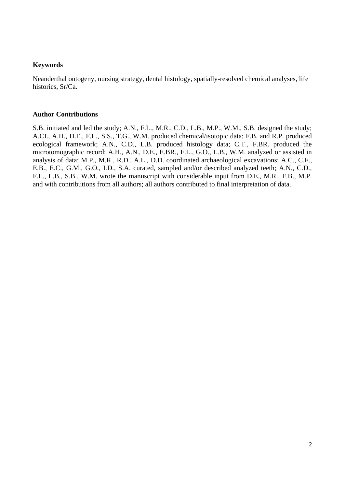#### **Keywords**

Neanderthal ontogeny, nursing strategy, dental histology, spatially-resolved chemical analyses, life histories, Sr/Ca.

#### **Author Contributions**

S.B. initiated and led the study; A.N., F.L., M.R., C.D., L.B., M.P., W.M., S.B. designed the study; A.CI., A.H., D.E., F.L., S.S., T.G., W.M. produced chemical/isotopic data; F.B. and R.P. produced ecological framework; A.N., C.D., L.B. produced histology data; C.T., F.BR. produced the microtomographic record; A.H., A.N., D.E., E.BR., F.L., G.O., L.B., W.M. analyzed or assisted in analysis of data; M.P., M.R., R.D., A.L., D.D. coordinated archaeological excavations; A.C., C.F., E.B., E.C., G.M., G.O., I.D., S.A. curated, sampled and/or described analyzed teeth; A.N., C.D., F.L., L.B., S.B., W.M. wrote the manuscript with considerable input from D.E., M.R., F.B., M.P. and with contributions from all authors; all authors contributed to final interpretation of data.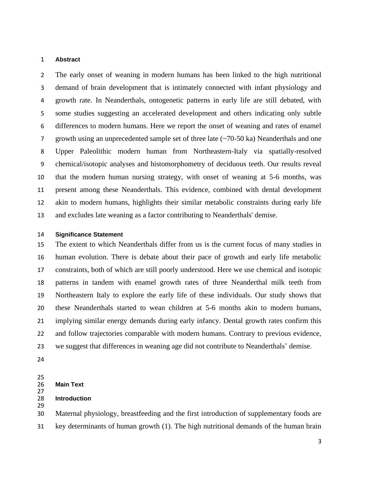#### **Abstract**

 The early onset of weaning in modern humans has been linked to the high nutritional demand of brain development that is intimately connected with infant physiology and growth rate. In Neanderthals, ontogenetic patterns in early life are still debated, with some studies suggesting an accelerated development and others indicating only subtle differences to modern humans. Here we report the onset of weaning and rates of enamel growth using an unprecedented sample set of three late (~70-50 ka) Neanderthals and one Upper Paleolithic modern human from Northeastern-Italy via spatially-resolved chemical/isotopic analyses and histomorphometry of deciduous teeth. Our results reveal that the modern human nursing strategy, with onset of weaning at 5-6 months, was present among these Neanderthals. This evidence, combined with dental development akin to modern humans, highlights their similar metabolic constraints during early life and excludes late weaning as a factor contributing to Neanderthals' demise.

#### **Significance Statement**

 The extent to which Neanderthals differ from us is the current focus of many studies in human evolution. There is debate about their pace of growth and early life metabolic constraints, both of which are still poorly understood. Here we use chemical and isotopic patterns in tandem with enamel growth rates of three Neanderthal milk teeth from Northeastern Italy to explore the early life of these individuals. Our study shows that these Neanderthals started to wean children at 5-6 months akin to modern humans, implying similar energy demands during early infancy. Dental growth rates confirm this and follow trajectories comparable with modern humans. Contrary to previous evidence, we suggest that differences in weaning age did not contribute to Neanderthals' demise.

25<br>26 **Main Text** 

#### **Introduction**

 Maternal physiology, breastfeeding and the first introduction of supplementary foods are key determinants of human growth (1). The high nutritional demands of the human brain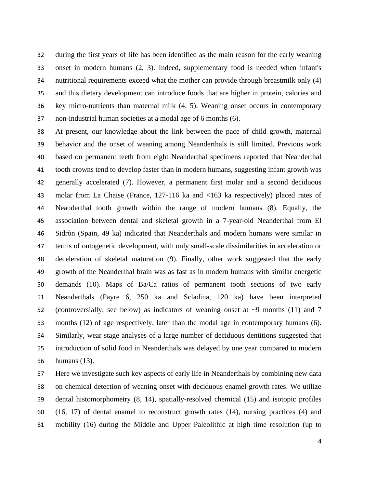during the first years of life has been identified as the main reason for the early weaning onset in modern humans (2, 3). Indeed, supplementary food is needed when infant's nutritional requirements exceed what the mother can provide through breastmilk only (4) and this dietary development can introduce foods that are higher in protein, calories and key micro-nutrients than maternal milk (4, 5). Weaning onset occurs in contemporary non-industrial human societies at a modal age of 6 months (6).

 At present, our knowledge about the link between the pace of child growth, maternal behavior and the onset of weaning among Neanderthals is still limited. Previous work based on permanent teeth from eight Neanderthal specimens reported that Neanderthal tooth crowns tend to develop faster than in modern humans, suggesting infant growth was generally accelerated (7). However, a permanent first molar and a second deciduous molar from La Chaise (France, 127-116 ka and <163 ka respectively) placed rates of Neanderthal tooth growth within the range of modern humans (8). Equally, the association between dental and skeletal growth in a 7-year-old Neanderthal from El Sidròn (Spain, 49 ka) indicated that Neanderthals and modern humans were similar in terms of ontogenetic development, with only small-scale dissimilarities in acceleration or deceleration of skeletal maturation (9). Finally, other work suggested that the early growth of the Neanderthal brain was as fast as in modern humans with similar energetic demands (10). Maps of Ba/Ca ratios of permanent tooth sections of two early Neanderthals (Payre 6, 250 ka and Scladina, 120 ka) have been interpreted (controversially, see below) as indicators of weaning onset at ~9 months (11) and 7 months (12) of age respectively, later than the modal age in contemporary humans (6). Similarly, wear stage analyses of a large number of deciduous dentitions suggested that introduction of solid food in Neanderthals was delayed by one year compared to modern humans (13).

 Here we investigate such key aspects of early life in Neanderthals by combining new data on chemical detection of weaning onset with deciduous enamel growth rates. We utilize dental histomorphometry (8, 14), spatially-resolved chemical (15) and isotopic profiles (16, 17) of dental enamel to reconstruct growth rates (14), nursing practices (4) and mobility (16) during the Middle and Upper Paleolithic at high time resolution (up to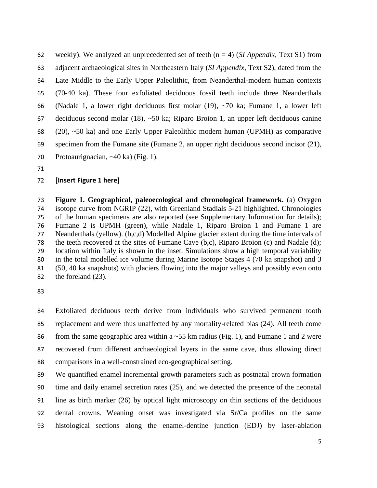weekly). We analyzed an unprecedented set of teeth (n = 4) (*SI Appendix,* Text S1) from adjacent archaeological sites in Northeastern Italy (*SI Appendix,* Text S2), dated from the Late Middle to the Early Upper Paleolithic, from Neanderthal-modern human contexts (70-40 ka). These four exfoliated deciduous fossil teeth include three Neanderthals (Nadale 1, a lower right deciduous first molar (19), ~70 ka; Fumane 1, a lower left deciduous second molar (18), ~50 ka; Riparo Broion 1, an upper left deciduous canine (20), ~50 ka) and one Early Upper Paleolithic modern human (UPMH) as comparative specimen from the Fumane site (Fumane 2, an upper right deciduous second incisor (21), Protoaurignacian, ~40 ka) (Fig. 1).

#### **[Insert Figure 1 here]**

 **Figure 1. Geographical, paleoecological and chronological framework.** (a) Oxygen isotope curve from NGRIP (22), with Greenland Stadials 5-21 highlighted. Chronologies of the human specimens are also reported (see Supplementary Information for details); Fumane 2 is UPMH (green), while Nadale 1, Riparo Broion 1 and Fumane 1 are Neanderthals (yellow). (b,c,d) Modelled Alpine glacier extent during the time intervals of the teeth recovered at the sites of Fumane Cave (b,c), Riparo Broion (c) and Nadale (d); location within Italy is shown in the inset. Simulations show a high temporal variability in the total modelled ice volume during Marine Isotope Stages 4 (70 ka snapshot) and 3 (50, 40 ka snapshots) with glaciers flowing into the major valleys and possibly even onto the foreland (23).

 Exfoliated deciduous teeth derive from individuals who survived permanent tooth replacement and were thus unaffected by any mortality-related bias (24). All teeth come 86 from the same geographic area within a  $\sim$  55 km radius (Fig. 1), and Fumane 1 and 2 were recovered from different archaeological layers in the same cave, thus allowing direct comparisons in a well-constrained eco-geographical setting.

 We quantified enamel incremental growth parameters such as postnatal crown formation time and daily enamel secretion rates (25), and we detected the presence of the neonatal line as birth marker (26) by optical light microscopy on thin sections of the deciduous dental crowns. Weaning onset was investigated via Sr/Ca profiles on the same histological sections along the enamel-dentine junction (EDJ) by laser-ablation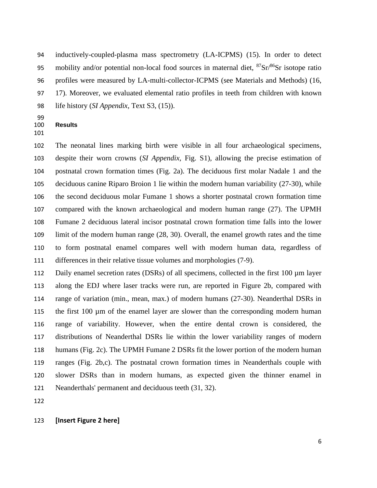inductively-coupled-plasma mass spectrometry (LA-ICPMS) (15). In order to detect 95 mobility and/or potential non-local food sources in maternal diet,  ${}^{87}Sr/{}^{86}Sr$  isotope ratio profiles were measured by LA-multi-collector-ICPMS (see Materials and Methods) (16, 17). Moreover, we evaluated elemental ratio profiles in teeth from children with known life history (*SI Appendix,* Text S3, (15)).

- 99<br>100 **Results**
- 

 The neonatal lines marking birth were visible in all four archaeological specimens, despite their worn crowns (*SI Appendix,* Fig. S1), allowing the precise estimation of postnatal crown formation times (Fig. 2a). The deciduous first molar Nadale 1 and the deciduous canine Riparo Broion 1 lie within the modern human variability (27-30), while the second deciduous molar Fumane 1 shows a shorter postnatal crown formation time compared with the known archaeological and modern human range (27). The UPMH Fumane 2 deciduous lateral incisor postnatal crown formation time falls into the lower limit of the modern human range (28, 30). Overall, the enamel growth rates and the time to form postnatal enamel compares well with modern human data, regardless of differences in their relative tissue volumes and morphologies (7-9).

112 Daily enamel secretion rates (DSRs) of all specimens, collected in the first 100  $\mu$ m layer along the EDJ where laser tracks were run, are reported in Figure 2b, compared with range of variation (min., mean, max.) of modern humans (27-30). Neanderthal DSRs in 115 the first  $100 \mu m$  of the enamel layer are slower than the corresponding modern human range of variability. However, when the entire dental crown is considered, the distributions of Neanderthal DSRs lie within the lower variability ranges of modern humans (Fig. 2c). The UPMH Fumane 2 DSRs fit the lower portion of the modern human ranges (Fig. 2b,c). The postnatal crown formation times in Neanderthals couple with slower DSRs than in modern humans, as expected given the thinner enamel in Neanderthals' permanent and deciduous teeth (31, 32).

#### **[Insert Figure 2 here]**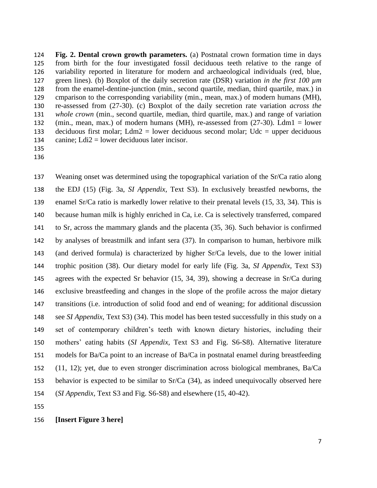**Fig. 2. Dental crown growth parameters.** (a) Postnatal crown formation time in days from birth for the four investigated fossil deciduous teeth relative to the range of variability reported in literature for modern and archaeological individuals (red, blue, green lines). (b) Boxplot of the daily secretion rate (DSR) variation *in the first 100 µm* from the enamel-dentine-junction (min., second quartile, median, third quartile, max.) in cmparison to the corresponding variability (min., mean, max.) of modern humans (MH), re-assessed from (27-30). (c) Boxplot of the daily secretion rate variation *across the whole crown* (min., second quartile, median, third quartile, max.) and range of variation (min., mean, max.) of modern humans (MH), re-assessed from (27-30). Ldm1 = lower 133 deciduous first molar; Ldm2 = lower deciduous second molar; Udc = upper deciduous 134 canine;  $Ldi2 =$  lower deciduous later incisor.

 

 Weaning onset was determined using the topographical variation of the Sr/Ca ratio along the EDJ (15) (Fig. 3a, *SI Appendix,* Text S3). In exclusively breastfed newborns, the enamel Sr/Ca ratio is markedly lower relative to their prenatal levels (15, 33, 34). This is because human milk is highly enriched in Ca, i.e. Ca is selectively transferred, compared to Sr, across the mammary glands and the placenta (35, 36). Such behavior is confirmed by analyses of breastmilk and infant sera (37). In comparison to human, herbivore milk (and derived formula) is characterized by higher Sr/Ca levels, due to the lower initial trophic position (38). Our dietary model for early life (Fig. 3a, *SI Appendix,* Text S3) agrees with the expected Sr behavior (15, 34, 39), showing a decrease in Sr/Ca during exclusive breastfeeding and changes in the slope of the profile across the major dietary transitions (i.e. introduction of solid food and end of weaning; for additional discussion see *SI Appendix,* Text S3) (34). This model has been tested successfully in this study on a set of contemporary children's teeth with known dietary histories, including their mothers' eating habits (*SI Appendix,* Text S3 and Fig. S6-S8). Alternative literature models for Ba/Ca point to an increase of Ba/Ca in postnatal enamel during breastfeeding (11, 12); yet, due to even stronger discrimination across biological membranes, Ba/Ca behavior is expected to be similar to Sr/Ca (34), as indeed unequivocally observed here (*SI Appendix,* Text S3 and Fig. S6-S8) and elsewhere (15, 40-42).

#### **[Insert Figure 3 here]**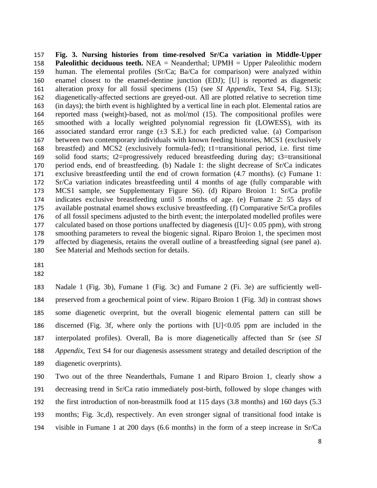**Fig. 3. Nursing histories from time-resolved Sr/Ca variation in Middle-Upper Paleolithic deciduous teeth.** NEA = Neanderthal; UPMH = Upper Paleolithic modern human. The elemental profiles (Sr/Ca; Ba/Ca for comparison) were analyzed within enamel closest to the enamel-dentine junction (EDJ); [U] is reported as diagenetic alteration proxy for all fossil specimens (15) (see *SI Appendix,* Text S4, Fig. S13); diagenetically-affected sections are greyed-out. All are plotted relative to secretion time (in days); the birth event is highlighted by a vertical line in each plot. Elemental ratios are reported mass (weight)-based, not as mol/mol (15). The compositional profiles were smoothed with a locally weighted polynomial regression fit (LOWESS), with its 166 associated standard error range  $(\pm 3 \text{ S.E.})$  for each predicted value. (a) Comparison between two contemporary individuals with known feeding histories, MCS1 (exclusively breastfed) and MCS2 (exclusively formula-fed); t1=transitional period, i.e. first time solid food starts; t2=progressively reduced breastfeeding during day; t3=transitional period ends, end of breastfeeding. (b) Nadale 1: the slight decrease of Sr/Ca indicates exclusive breastfeeding until the end of crown formation (4.7 months). (c) Fumane 1: Sr/Ca variation indicates breastfeeding until 4 months of age (fully comparable with MCS1 sample, see Supplementary Figure S6). (d) Riparo Broion 1: Sr/Ca profile indicates exclusive breastfeeding until 5 months of age. (e) Fumane 2: 55 days of available postnatal enamel shows exclusive breastfeeding. (f) Comparative Sr/Ca profiles of all fossil specimens adjusted to the birth event; the interpolated modelled profiles were calculated based on those portions unaffected by diagenesis ([U]< 0.05 ppm), with strong smoothing parameters to reveal the biogenic signal. Riparo Broion 1, the specimen most affected by diagenesis, retains the overall outline of a breastfeeding signal (see panel a). See Material and Methods section for details.

 Nadale 1 (Fig. 3b), Fumane 1 (Fig. 3c) and Fumane 2 (Fi. 3e) are sufficiently well- preserved from a geochemical point of view. Riparo Broion 1 (Fig. 3d) in contrast shows some diagenetic overprint, but the overall biogenic elemental pattern can still be discerned (Fig. 3f, where only the portions with [U]<0.05 ppm are included in the interpolated profiles). Overall, Ba is more diagenetically affected than Sr (see *SI Appendix*, Text S4 for our diagenesis assessment strategy and detailed description of the diagenetic overprints).

 Two out of the three Neanderthals, Fumane 1 and Riparo Broion 1, clearly show a decreasing trend in Sr/Ca ratio immediately post-birth, followed by slope changes with the first introduction of non-breastmilk food at 115 days (3.8 months) and 160 days (5.3 months; Fig. 3c,d), respectively. An even stronger signal of transitional food intake is visible in Fumane 1 at 200 days (6.6 months) in the form of a steep increase in Sr/Ca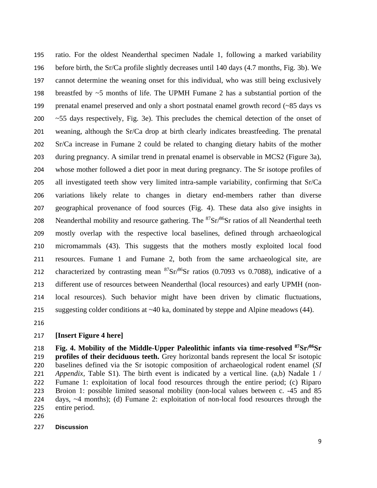ratio. For the oldest Neanderthal specimen Nadale 1, following a marked variability before birth, the Sr/Ca profile slightly decreases until 140 days (4.7 months, Fig. 3b). We cannot determine the weaning onset for this individual, who was still being exclusively 198 breastfed by  $\sim$  5 months of life. The UPMH Fumane 2 has a substantial portion of the prenatal enamel preserved and only a short postnatal enamel growth record (~85 days vs ~55 days respectively, Fig. 3e). This precludes the chemical detection of the onset of weaning, although the Sr/Ca drop at birth clearly indicates breastfeeding. The prenatal Sr/Ca increase in Fumane 2 could be related to changing dietary habits of the mother during pregnancy. A similar trend in prenatal enamel is observable in MCS2 (Figure 3a), whose mother followed a diet poor in meat during pregnancy. The Sr isotope profiles of all investigated teeth show very limited intra-sample variability, confirming that Sr/Ca variations likely relate to changes in dietary end-members rather than diverse geographical provenance of food sources (Fig. 4). These data also give insights in 208 Neanderthal mobility and resource gathering. The  ${}^{87}Sr/{}^{86}Sr$  ratios of all Neanderthal teeth mostly overlap with the respective local baselines, defined through archaeological micromammals (43). This suggests that the mothers mostly exploited local food resources. Fumane 1 and Fumane 2, both from the same archaeological site, are 212 characterized by contrasting mean  ${}^{87}Sr/{}^{86}Sr$  ratios (0.7093 vs 0.7088), indicative of a different use of resources between Neanderthal (local resources) and early UPMH (non- local resources). Such behavior might have been driven by climatic fluctuations, suggesting colder conditions at ~40 ka, dominated by steppe and Alpine meadows (44).

#### **[Insert Figure 4 here]**

**Fig. 4. Mobility of the Middle-Upper Paleolithic infants via time-resolved <sup>87</sup>Sr/<sup>86</sup> Sr profiles of their deciduous teeth.** Grey horizontal bands represent the local Sr isotopic baselines defined via the Sr isotopic composition of archaeological rodent enamel (*SI Appendix,* Table S1). The birth event is indicated by a vertical line. (a,b) Nadale 1 / Fumane 1: exploitation of local food resources through the entire period; (c) Riparo Broion 1: possible limited seasonal mobility (non-local values between c. -45 and 85 days, ~4 months); (d) Fumane 2: exploitation of non-local food resources through the entire period.

#### **Discussion**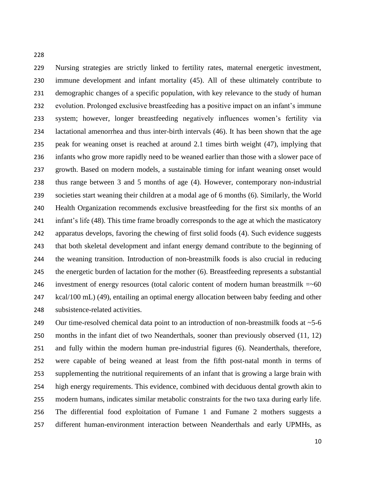Nursing strategies are strictly linked to fertility rates, maternal energetic investment, immune development and infant mortality (45). All of these ultimately contribute to demographic changes of a specific population, with key relevance to the study of human evolution. Prolonged exclusive breastfeeding has a positive impact on an infant's immune system; however, longer breastfeeding negatively influences women's fertility via lactational amenorrhea and thus inter-birth intervals (46). It has been shown that the age peak for weaning onset is reached at around 2.1 times birth weight (47), implying that infants who grow more rapidly need to be weaned earlier than those with a slower pace of growth. Based on modern models, a sustainable timing for infant weaning onset would thus range between 3 and 5 months of age (4). However, contemporary non-industrial societies start weaning their children at a modal age of 6 months (6). Similarly, the World Health Organization recommends exclusive breastfeeding for the first six months of an infant's life (48). This time frame broadly corresponds to the age at which the masticatory apparatus develops, favoring the chewing of first solid foods (4). Such evidence suggests that both skeletal development and infant energy demand contribute to the beginning of the weaning transition. Introduction of non-breastmilk foods is also crucial in reducing the energetic burden of lactation for the mother (6). Breastfeeding represents a substantial 246 investment of energy resources (total caloric content of modern human breastmilk  $=\sim 60$  kcal/100 mL) (49), entailing an optimal energy allocation between baby feeding and other subsistence-related activities.

249 Our time-resolved chemical data point to an introduction of non-breastmilk foods at ~5-6 months in the infant diet of two Neanderthals, sooner than previously observed (11, 12) and fully within the modern human pre-industrial figures (6). Neanderthals, therefore, were capable of being weaned at least from the fifth post-natal month in terms of supplementing the nutritional requirements of an infant that is growing a large brain with high energy requirements. This evidence, combined with deciduous dental growth akin to modern humans, indicates similar metabolic constraints for the two taxa during early life. The differential food exploitation of Fumane 1 and Fumane 2 mothers suggests a different human-environment interaction between Neanderthals and early UPMHs, as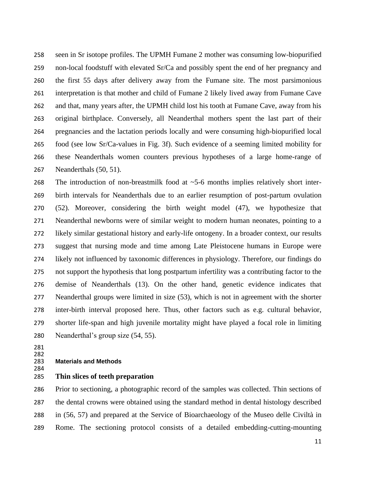seen in Sr isotope profiles. The UPMH Fumane 2 mother was consuming low-biopurified non-local foodstuff with elevated Sr/Ca and possibly spent the end of her pregnancy and the first 55 days after delivery away from the Fumane site. The most parsimonious interpretation is that mother and child of Fumane 2 likely lived away from Fumane Cave and that, many years after, the UPMH child lost his tooth at Fumane Cave, away from his original birthplace. Conversely, all Neanderthal mothers spent the last part of their pregnancies and the lactation periods locally and were consuming high-biopurified local food (see low Sr/Ca-values in Fig. 3f). Such evidence of a seeming limited mobility for these Neanderthals women counters previous hypotheses of a large home-range of Neanderthals (50, 51).

268 The introduction of non-breastmilk food at  $\sim$  5-6 months implies relatively short inter- birth intervals for Neanderthals due to an earlier resumption of post-partum ovulation (52). Moreover, considering the birth weight model (47), we hypothesize that Neanderthal newborns were of similar weight to modern human neonates, pointing to a likely similar gestational history and early-life ontogeny. In a broader context, our results suggest that nursing mode and time among Late Pleistocene humans in Europe were likely not influenced by taxonomic differences in physiology. Therefore, our findings do not support the hypothesis that long postpartum infertility was a contributing factor to the demise of Neanderthals (13). On the other hand, genetic evidence indicates that Neanderthal groups were limited in size (53), which is not in agreement with the shorter inter-birth interval proposed here. Thus, other factors such as e.g. cultural behavior, shorter life-span and high juvenile mortality might have played a focal role in limiting Neanderthal's group size (54, 55).

#### 282<br>283 **Materials and Methods**

**Thin slices of teeth preparation** 

 Prior to sectioning, a photographic record of the samples was collected. Thin sections of the dental crowns were obtained using the standard method in dental histology described in (56, 57) and prepared at the Service of Bioarchaeology of the Museo delle Civiltà in Rome. The sectioning protocol consists of a detailed embedding-cutting-mounting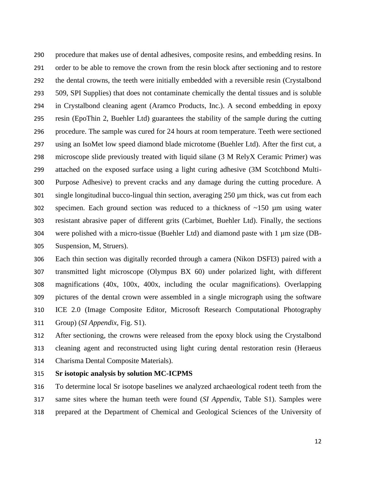procedure that makes use of dental adhesives, composite resins, and embedding resins. In order to be able to remove the crown from the resin block after sectioning and to restore the dental crowns, the teeth were initially embedded with a reversible resin (Crystalbond 509, SPI Supplies) that does not contaminate chemically the dental tissues and is soluble in Crystalbond cleaning agent (Aramco Products, Inc.). A second embedding in epoxy resin (EpoThin 2, Buehler Ltd) guarantees the stability of the sample during the cutting procedure. The sample was cured for 24 hours at room temperature. Teeth were sectioned using an IsoMet low speed diamond blade microtome (Buehler Ltd). After the first cut, a microscope slide previously treated with liquid silane (3 M RelyX Ceramic Primer) was attached on the exposed surface using a light curing adhesive (3M Scotchbond Multi- Purpose Adhesive) to prevent cracks and any damage during the cutting procedure. A single longitudinal bucco-lingual thin section, averaging 250 µm thick, was cut from each 302 specimen. Each ground section was reduced to a thickness of  $\sim$ 150  $\mu$ m using water resistant abrasive paper of different grits (Carbimet, Buehler Ltd). Finally, the sections were polished with a micro-tissue (Buehler Ltd) and diamond paste with 1 µm size (DB-Suspension, M, Struers).

 Each thin section was digitally recorded through a camera (Nikon DSFI3) paired with a transmitted light microscope (Olympus BX 60) under polarized light, with different magnifications (40x, 100x, 400x, including the ocular magnifications). Overlapping pictures of the dental crown were assembled in a single micrograph using the software ICE 2.0 (Image Composite Editor, Microsoft Research Computational Photography Group) (*SI Appendix,* Fig. S1).

 After sectioning, the crowns were released from the epoxy block using the Crystalbond cleaning agent and reconstructed using light curing dental restoration resin (Heraeus Charisma Dental Composite Materials).

#### **Sr isotopic analysis by solution MC-ICPMS**

 To determine local Sr isotope baselines we analyzed archaeological rodent teeth from the same sites where the human teeth were found (*SI Appendix,* Table S1). Samples were prepared at the Department of Chemical and Geological Sciences of the University of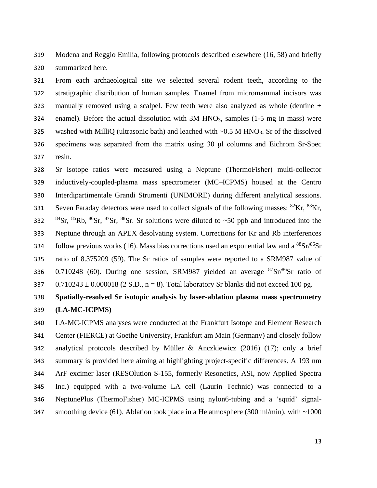Modena and Reggio Emilia, following protocols described elsewhere (16, 58) and briefly summarized here.

 From each archaeological site we selected several rodent teeth, according to the stratigraphic distribution of human samples. Enamel from micromammal incisors was manually removed using a scalpel. Few teeth were also analyzed as whole (dentine + 324 enamel). Before the actual dissolution with  $3M HNO<sub>3</sub>$ , samples (1-5 mg in mass) were 325 washed with MilliQ (ultrasonic bath) and leached with ~0.5 M HNO<sub>3</sub>. Sr of the dissolved specimens was separated from the matrix using 30 μl columns and Eichrom Sr-Spec resin.

 Sr isotope ratios were measured using a Neptune (ThermoFisher) multi-collector inductively-coupled-plasma mass spectrometer (MC–ICPMS) housed at the Centro Interdipartimentale Grandi Strumenti (UNIMORE) during different analytical sessions. Seven Faraday detectors were used to collect signals of the following masses:  ${}^{82}$ Kr,  ${}^{83}$ Kr, 332 Sr,  $85$ Rb,  $86$ Sr,  $87$ Sr,  $88$ Sr. Sr solutions were diluted to ~50 ppb and introduced into the Neptune through an APEX desolvating system. Corrections for Kr and Rb interferences follow previous works (16). Mass bias corrections used an exponential law and a  ${}^{88}Sr/{}^{86}Sr$  ratio of 8.375209 (59). The Sr ratios of samples were reported to a SRM987 value of 336 0.710248 (60). During one session, SRM987 yielded an average  ${}^{87}Sr/{}^{86}Sr$  ratio of 337 0.710243  $\pm$  0.000018 (2 S.D., n = 8). Total laboratory Sr blanks did not exceed 100 pg.

## **Spatially-resolved Sr isotopic analysis by laser-ablation plasma mass spectrometry (LA-MC-ICPMS)**

 LA-MC-ICPMS analyses were conducted at the Frankfurt Isotope and Element Research Center (FIERCE) at Goethe University, Frankfurt am Main (Germany) and closely follow analytical protocols described by Müller & Anczkiewicz (2016) (17); only a brief summary is provided here aiming at highlighting project-specific differences. A 193 nm ArF excimer laser (RESOlution S-155, formerly Resonetics, ASI, now Applied Spectra Inc.) equipped with a two-volume LA cell (Laurin Technic) was connected to a NeptunePlus (ThermoFisher) MC-ICPMS using nylon6-tubing and a 'squid' signal-347 smoothing device (61). Ablation took place in a He atmosphere (300 ml/min), with ~1000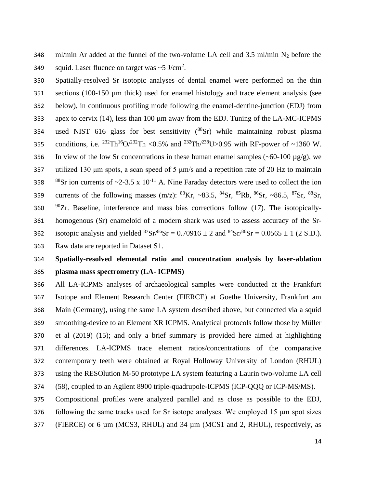348 ml/min Ar added at the funnel of the two-volume LA cell and 3.5 ml/min  $N_2$  before the 349 squid. Laser fluence on target was  $\sim$  5 J/cm<sup>2</sup>.

 Spatially-resolved Sr isotopic analyses of dental enamel were performed on the thin sections (100-150 µm thick) used for enamel histology and trace element analysis (see below), in continuous profiling mode following the enamel-dentine-junction (EDJ) from 353 apex to cervix (14), less than 100  $\mu$ m away from the EDJ. Tuning of the LA-MC-ICPMS 354 used NIST 616 glass for best sensitivity  $(^{88}Sr)$  while maintaining robust plasma 355 conditions, i.e. <sup>232</sup>Th<sup>16</sup>O/<sup>232</sup>Th <0.5% and <sup>232</sup>Th/<sup>238</sup>U>0.95 with RF-power of ~1360 W. 356 In view of the low Sr concentrations in these human enamel samples  $(-60-100 \mu g/g)$ , we utilized 130 μm spots, a scan speed of 5 μm/s and a repetition rate of 20 Hz to maintain 358 Sr ion currents of ~2-3.5 x 10<sup>-11</sup> A. Nine Faraday detectors were used to collect the ion 359 currents of the following masses  $(m/z)$ :  ${}^{83}Kr$ ,  $~83.5$ ,  ${}^{84}Sr$ ,  ${}^{85}Rh$ ,  ${}^{86}Sr$ ,  $~86.5$ ,  ${}^{87}Sr$ ,  ${}^{88}Sr$ ,  $90Zr$ . Baseline, interference and mass bias corrections follow (17). The isotopically- homogenous (Sr) enameloid of a modern shark was used to assess accuracy of the Sr-362 isotopic analysis and yielded  ${}^{87}Sr/{}^{86}Sr = 0.70916 \pm 2$  and  ${}^{84}Sr/{}^{86}Sr = 0.0565 \pm 1$  (2 S.D.). Raw data are reported in Dataset S1.

## **Spatially-resolved elemental ratio and concentration analysis by laser-ablation plasma mass spectrometry (LA- ICPMS)**

 All LA-ICPMS analyses of archaeological samples were conducted at the Frankfurt Isotope and Element Research Center (FIERCE) at Goethe University, Frankfurt am Main (Germany), using the same LA system described above, but connected via a squid smoothing-device to an Element XR ICPMS. Analytical protocols follow those by Müller et al (2019) (15); and only a brief summary is provided here aimed at highlighting differences. LA-ICPMS trace element ratios/concentrations of the comparative contemporary teeth were obtained at Royal Holloway University of London (RHUL) using the RESOlution M-50 prototype LA system featuring a Laurin two-volume LA cell (58), coupled to an Agilent 8900 triple-quadrupole-ICPMS (ICP-QQQ or ICP-MS/MS).

 Compositional profiles were analyzed parallel and as close as possible to the EDJ, following the same tracks used for Sr isotope analyses. We employed 15 μm spot sizes (FIERCE) or 6 µm (MCS3, RHUL) and 34 µm (MCS1 and 2, RHUL), respectively, as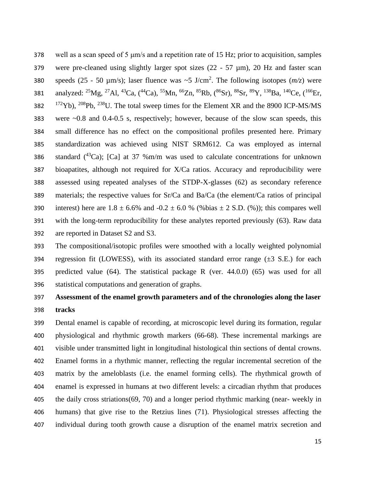well as a scan speed of 5 μm/s and a repetition rate of 15 Hz; prior to acquisition, samples were pre-cleaned using slightly larger spot sizes (22 - 57 µm), 20 Hz and faster scan 380 speeds  $(25 - 50 \text{ }\mu\text{m/s})$ ; laser fluence was  $\sim 5 \text{ J/cm}^2$ . The following isotopes  $(m/z)$  were 381 analyzed:  ${}^{25}Mg$ ,  ${}^{27}Al$ ,  ${}^{43}Ca$ ,  $({}^{44}Ca)$ ,  ${}^{55}Mn$ ,  ${}^{66}Zn$ ,  ${}^{85}Rb$ ,  $({}^{86}Sr)$ ,  ${}^{88}Sr$ ,  ${}^{89}Y$ ,  ${}^{138}Ba$ ,  ${}^{140}Ce$ ,  $({}^{166}Er$ , Yb),  $208$ Pb,  $238$ U. The total sweep times for the Element XR and the 8900 ICP-MS/MS were ~0.8 and 0.4-0.5 s, respectively; however, because of the slow scan speeds, this small difference has no effect on the compositional profiles presented here. Primary standardization was achieved using NIST SRM612. Ca was employed as internal 386 standard  $(^{43}Ca)$ ; [Ca] at 37 %m/m was used to calculate concentrations for unknown bioapatites, although not required for X/Ca ratios. Accuracy and reproducibility were assessed using repeated analyses of the STDP-X-glasses (62) as secondary reference materials; the respective values for Sr/Ca and Ba/Ca (the element/Ca ratios of principal 390 interest) here are  $1.8 \pm 6.6\%$  and  $-0.2 \pm 6.0\%$  (%bias  $\pm 2$  S.D. (%)); this compares well with the long-term reproducibility for these analytes reported previously (63). Raw data are reported in Dataset S2 and S3.

 The compositional/isotopic profiles were smoothed with a locally weighted polynomial 394 regression fit (LOWESS), with its associated standard error range  $(\pm 3 \text{ S.E.})$  for each predicted value (64). The statistical package R (ver. 44.0.0) (65) was used for all statistical computations and generation of graphs.

## **Assessment of the enamel growth parameters and of the chronologies along the laser tracks**

 Dental enamel is capable of recording, at microscopic level during its formation, regular physiological and rhythmic growth markers (66-68). These incremental markings are visible under transmitted light in longitudinal histological thin sections of dental crowns. Enamel forms in a rhythmic manner, reflecting the regular incremental secretion of the matrix by the ameloblasts (i.e. the enamel forming cells). The rhythmical growth of enamel is expressed in humans at two different levels: a circadian rhythm that produces the daily cross striations(69, 70) and a longer period rhythmic marking (near- weekly in humans) that give rise to the Retzius lines (71). Physiological stresses affecting the individual during tooth growth cause a disruption of the enamel matrix secretion and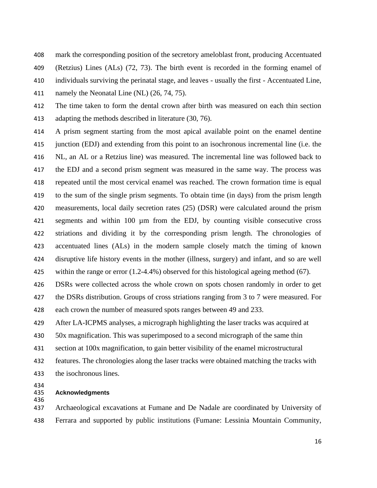- mark the corresponding position of the secretory ameloblast front, producing Accentuated (Retzius) Lines (ALs) (72, 73). The birth event is recorded in the forming enamel of
- individuals surviving the perinatal stage, and leaves usually the first Accentuated Line,
- 411 namely the Neonatal Line (NL) (26, 74, 75).

 The time taken to form the dental crown after birth was measured on each thin section adapting the methods described in literature (30, 76).

 A prism segment starting from the most apical available point on the enamel dentine junction (EDJ) and extending from this point to an isochronous incremental line (i.e. the NL, an AL or a Retzius line) was measured. The incremental line was followed back to the EDJ and a second prism segment was measured in the same way. The process was repeated until the most cervical enamel was reached. The crown formation time is equal to the sum of the single prism segments. To obtain time (in days) from the prism length measurements, local daily secretion rates (25) (DSR) were calculated around the prism segments and within 100 µm from the EDJ, by counting visible consecutive cross striations and dividing it by the corresponding prism length. The chronologies of accentuated lines (ALs) in the modern sample closely match the timing of known disruptive life history events in the mother (illness, surgery) and infant, and so are well within the range or error (1.2-4.4%) observed for this histological ageing method (67).

 DSRs were collected across the whole crown on spots chosen randomly in order to get 427 the DSRs distribution. Groups of cross striations ranging from 3 to 7 were measured. For each crown the number of measured spots ranges between 49 and 233.

After LA-ICPMS analyses, a micrograph highlighting the laser tracks was acquired at

- 50x magnification. This was superimposed to a second micrograph of the same thin
- section at 100x magnification, to gain better visibility of the enamel microstructural
- features. The chronologies along the laser tracks were obtained matching the tracks with the isochronous lines.

434<br>435

 **Acknowledgments** 

 Archaeological excavations at Fumane and De Nadale are coordinated by University of Ferrara and supported by public institutions (Fumane: Lessinia Mountain Community,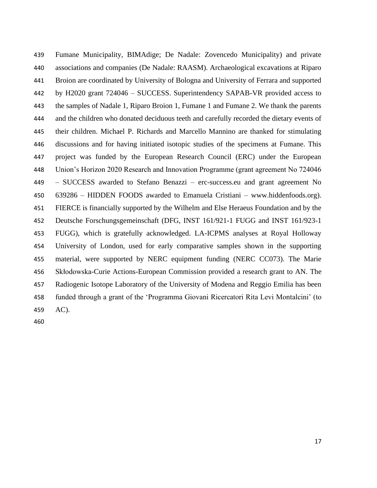Fumane Municipality, BIMAdige; De Nadale: Zovencedo Municipality) and private associations and companies (De Nadale: RAASM). Archaeological excavations at Riparo Broion are coordinated by University of Bologna and University of Ferrara and supported by H2020 grant 724046 – SUCCESS. Superintendency SAPAB-VR provided access to the samples of Nadale 1, Riparo Broion 1, Fumane 1 and Fumane 2. We thank the parents and the children who donated deciduous teeth and carefully recorded the dietary events of their children. Michael P. Richards and Marcello Mannino are thanked for stimulating discussions and for having initiated isotopic studies of the specimens at Fumane. This project was funded by the European Research Council (ERC) under the European Union's Horizon 2020 Research and Innovation Programme (grant agreement No 724046 – SUCCESS awarded to Stefano Benazzi – erc-success.eu and grant agreement No 639286 – HIDDEN FOODS awarded to Emanuela Cristiani – www.hiddenfoods.org). FIERCE is financially supported by the Wilhelm and Else Heraeus Foundation and by the Deutsche Forschungsgemeinschaft (DFG, INST 161/921-1 FUGG and INST 161/923-1 FUGG), which is gratefully acknowledged. LA-ICPMS analyses at Royal Holloway University of London, used for early comparative samples shown in the supporting material, were supported by NERC equipment funding (NERC CC073). The Marie Skłodowska-Curie Actions-European Commission provided a research grant to AN. The Radiogenic Isotope Laboratory of the University of Modena and Reggio Emilia has been funded through a grant of the 'Programma Giovani Ricercatori Rita Levi Montalcini' (to AC).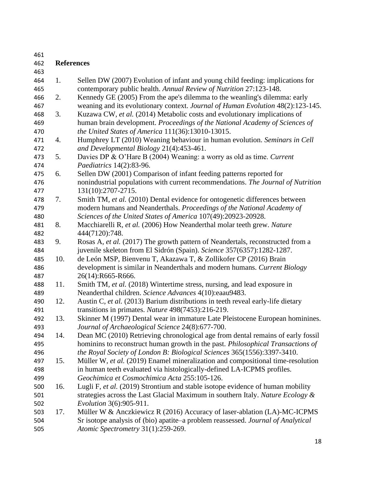| 461 |                   |                                                                                  |
|-----|-------------------|----------------------------------------------------------------------------------|
| 462 | <b>References</b> |                                                                                  |
| 463 |                   |                                                                                  |
| 464 | 1.                | Sellen DW (2007) Evolution of infant and young child feeding: implications for   |
| 465 |                   | contemporary public health. Annual Review of Nutrition 27:123-148.               |
| 466 | 2.                | Kennedy GE (2005) From the ape's dilemma to the weanling's dilemma: early        |
| 467 |                   | weaning and its evolutionary context. Journal of Human Evolution 48(2):123-145.  |
| 468 | 3.                | Kuzawa CW, et al. (2014) Metabolic costs and evolutionary implications of        |
| 469 |                   | human brain development. Proceedings of the National Academy of Sciences of      |
| 470 |                   | the United States of America 111(36):13010-13015.                                |
| 471 | 4.                | Humphrey LT (2010) Weaning behaviour in human evolution. Seminars in Cell        |
| 472 |                   | and Developmental Biology 21(4):453-461.                                         |
| 473 | 5.                | Davies DP & O'Hare B (2004) Weaning: a worry as old as time. Current             |
| 474 |                   | Paediatrics 14(2):83-96.                                                         |
| 475 | 6.                | Sellen DW (2001) Comparison of infant feeding patterns reported for              |
| 476 |                   | nonindustrial populations with current recommendations. The Journal of Nutrition |
| 477 |                   | 131(10):2707-2715.                                                               |
| 478 | 7.                | Smith TM, et al. (2010) Dental evidence for ontogenetic differences between      |
| 479 |                   | modern humans and Neanderthals. Proceedings of the National Academy of           |
| 480 |                   | Sciences of the United States of America 107(49):20923-20928.                    |
| 481 | 8.                | Macchiarelli R, et al. (2006) How Neanderthal molar teeth grew. Nature           |
| 482 |                   | 444(7120):748.                                                                   |
| 483 | 9.                | Rosas A, et al. (2017) The growth pattern of Neandertals, reconstructed from a   |
| 484 |                   | juvenile skeleton from El Sidrón (Spain). Science 357(6357):1282-1287.           |
| 485 | 10.               | de León MSP, Bienvenu T, Akazawa T, & Zollikofer CP (2016) Brain                 |
| 486 |                   | development is similar in Neanderthals and modern humans. Current Biology        |
| 487 |                   | 26(14):R665-R666.                                                                |
| 488 | 11.               | Smith TM, et al. (2018) Wintertime stress, nursing, and lead exposure in         |
| 489 |                   | Neanderthal children. Science Advances 4(10):eaau9483.                           |
| 490 | 12.               | Austin C, et al. (2013) Barium distributions in teeth reveal early-life dietary  |
| 491 |                   | transitions in primates. Nature 498(7453):216-219.                               |
| 492 | 13.               | Skinner M (1997) Dental wear in immature Late Pleistocene European hominines.    |
| 493 |                   | Journal of Archaeological Science 24(8):677-700.                                 |
| 494 | 14.               | Dean MC (2010) Retrieving chronological age from dental remains of early fossil  |
| 495 |                   | hominins to reconstruct human growth in the past. Philosophical Transactions of  |
| 496 |                   | the Royal Society of London B: Biological Sciences 365(1556):3397-3410.          |
| 497 | 15.               | Müller W, et al. (2019) Enamel mineralization and compositional time-resolution  |
| 498 |                   | in human teeth evaluated via histologically-defined LA-ICPMS profiles.           |
| 499 |                   | Geochimica et Cosmochimica Acta 255:105-126.                                     |
| 500 | 16.               | Lugli F, et al. (2019) Strontium and stable isotope evidence of human mobility   |
| 501 |                   | strategies across the Last Glacial Maximum in southern Italy. Nature Ecology &   |
| 502 |                   | <i>Evolution</i> 3(6):905-911.                                                   |
| 503 | 17.               | Müller W & Anczkiewicz R (2016) Accuracy of laser-ablation (LA)-MC-ICPMS         |
| 504 |                   | Sr isotope analysis of (bio) apatite-a problem reassessed. Journal of Analytical |
| 505 |                   | Atomic Spectrometry 31(1):259-269.                                               |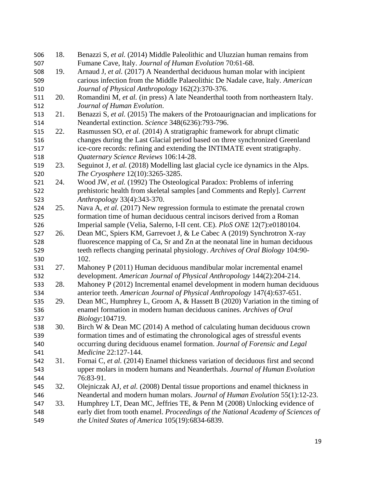| 506 | 18. | Benazzi S, et al. (2014) Middle Paleolithic and Uluzzian human remains from      |
|-----|-----|----------------------------------------------------------------------------------|
| 507 |     | Fumane Cave, Italy. Journal of Human Evolution 70:61-68.                         |
| 508 | 19. | Arnaud J, et al. (2017) A Neanderthal deciduous human molar with incipient       |
| 509 |     | carious infection from the Middle Palaeolithic De Nadale cave, Italy. American   |
| 510 |     | Journal of Physical Anthropology 162(2):370-376.                                 |
| 511 | 20. | Romandini M, et al. (in press) A late Neanderthal tooth from northeastern Italy. |
| 512 |     | Journal of Human Evolution.                                                      |
| 513 | 21. | Benazzi S, et al. (2015) The makers of the Protoaurignacian and implications for |
| 514 |     | Neandertal extinction. Science 348(6236):793-796.                                |
| 515 | 22. | Rasmussen SO, et al. (2014) A stratigraphic framework for abrupt climatic        |
| 516 |     | changes during the Last Glacial period based on three synchronized Greenland     |
| 517 |     | ice-core records: refining and extending the INTIMATE event stratigraphy.        |
| 518 |     | Quaternary Science Reviews 106:14-28.                                            |
| 519 | 23. | Seguinot J, et al. (2018) Modelling last glacial cycle ice dynamics in the Alps. |
| 520 |     | The Cryosphere 12(10):3265-3285.                                                 |
| 521 | 24. | Wood JW, et al. (1992) The Osteological Paradox: Problems of inferring           |
| 522 |     | prehistoric health from skeletal samples [and Comments and Reply]. Current       |
| 523 |     | Anthropology 33(4):343-370.                                                      |
| 524 | 25. | Nava A, et al. (2017) New regression formula to estimate the prenatal crown      |
| 525 |     | formation time of human deciduous central incisors derived from a Roman          |
| 526 |     | Imperial sample (Velia, Salerno, I-II cent. CE). PloS ONE 12(7):e0180104.        |
| 527 | 26. | Dean MC, Spiers KM, Garrevoet J, & Le Cabec A (2019) Synchrotron X-ray           |
| 528 |     | fluorescence mapping of Ca, Sr and Zn at the neonatal line in human deciduous    |
| 529 |     | teeth reflects changing perinatal physiology. Archives of Oral Biology 104:90-   |
| 530 |     | 102.                                                                             |
| 531 | 27. | Mahoney P (2011) Human deciduous mandibular molar incremental enamel             |
| 532 |     | development. American Journal of Physical Anthropology 144(2):204-214.           |
| 533 | 28. | Mahoney P (2012) Incremental enamel development in modern human deciduous        |
| 534 |     | anterior teeth. American Journal of Physical Anthropology 147(4):637-651.        |
| 535 | 29. | Dean MC, Humphrey L, Groom A, & Hassett B (2020) Variation in the timing of      |
| 536 |     | enamel formation in modern human deciduous canines. Archives of Oral             |
| 537 |     | Biology:104719.                                                                  |
| 538 | 30. | Birch W & Dean MC (2014) A method of calculating human deciduous crown           |
| 539 |     | formation times and of estimating the chronological ages of stressful events     |
| 540 |     | occurring during deciduous enamel formation. Journal of Forensic and Legal       |
| 541 |     | Medicine 22:127-144.                                                             |
| 542 | 31. | Fornai C, et al. (2014) Enamel thickness variation of deciduous first and second |
| 543 |     | upper molars in modern humans and Neanderthals. Journal of Human Evolution       |
| 544 |     | 76:83-91.                                                                        |
| 545 | 32. | Olejniczak AJ, et al. (2008) Dental tissue proportions and enamel thickness in   |
| 546 |     | Neandertal and modern human molars. Journal of Human Evolution 55(1):12-23.      |
| 547 | 33. | Humphrey LT, Dean MC, Jeffries TE, & Penn M (2008) Unlocking evidence of         |
| 548 |     | early diet from tooth enamel. Proceedings of the National Academy of Sciences of |
| 549 |     | the United States of America 105(19):6834-6839.                                  |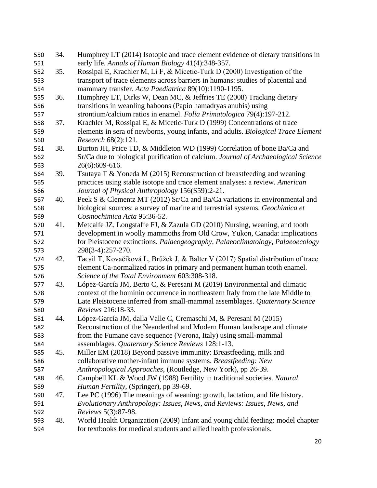| 550        | 34. | Humphrey LT (2014) Isotopic and trace element evidence of dietary transitions in                                                                       |
|------------|-----|--------------------------------------------------------------------------------------------------------------------------------------------------------|
| 551        |     | early life. Annals of Human Biology 41(4):348-357.                                                                                                     |
| 552        | 35. | Rossipal E, Krachler M, Li F, & Micetic-Turk D (2000) Investigation of the                                                                             |
| 553        |     | transport of trace elements across barriers in humans: studies of placental and                                                                        |
| 554        |     | mammary transfer. Acta Paediatrica 89(10):1190-1195.                                                                                                   |
| 555        | 36. | Humphrey LT, Dirks W, Dean MC, & Jeffries TE (2008) Tracking dietary                                                                                   |
| 556        |     | transitions in weanling baboons (Papio hamadryas anubis) using                                                                                         |
| 557        |     | strontium/calcium ratios in enamel. Folia Primatologica 79(4):197-212.                                                                                 |
| 558        | 37. | Krachler M, Rossipal E, & Micetic-Turk D (1999) Concentrations of trace                                                                                |
| 559        |     | elements in sera of newborns, young infants, and adults. Biological Trace Element                                                                      |
| 560        |     | Research 68(2):121.                                                                                                                                    |
| 561        | 38. | Burton JH, Price TD, & Middleton WD (1999) Correlation of bone Ba/Ca and                                                                               |
| 562        |     | Sr/Ca due to biological purification of calcium. Journal of Archaeological Science                                                                     |
| 563        |     | 26(6):609-616.                                                                                                                                         |
| 564        | 39. | Tsutaya T & Yoneda M (2015) Reconstruction of breastfeeding and weaning                                                                                |
| 565        |     | practices using stable isotope and trace element analyses: a review. American                                                                          |
| 566        |     | Journal of Physical Anthropology 156(S59):2-21.                                                                                                        |
| 567        | 40. | Peek S & Clementz MT (2012) Sr/Ca and Ba/Ca variations in environmental and                                                                            |
| 568        |     | biological sources: a survey of marine and terrestrial systems. Geochimica et                                                                          |
| 569        |     | Cosmochimica Acta 95:36-52.                                                                                                                            |
| 570        | 41. | Metcalfe JZ, Longstaffe FJ, & Zazula GD (2010) Nursing, weaning, and tooth                                                                             |
| 571        |     | development in woolly mammoths from Old Crow, Yukon, Canada: implications                                                                              |
| 572        |     | for Pleistocene extinctions. Palaeogeography, Palaeoclimatology, Palaeoecology                                                                         |
| 573        |     | 298(3-4):257-270.                                                                                                                                      |
| 574        | 42. | Tacail T, Kovačiková L, Brůžek J, & Balter V (2017) Spatial distribution of trace                                                                      |
| 575        |     | element Ca-normalized ratios in primary and permanent human tooth enamel.                                                                              |
| 576        |     | Science of the Total Environment 603:308-318.                                                                                                          |
| 577        | 43. | López-García JM, Berto C, & Peresani M (2019) Environmental and climatic                                                                               |
| 578        |     | context of the hominin occurrence in northeastern Italy from the late Middle to                                                                        |
| 579        |     | Late Pleistocene inferred from small-mammal assemblages. Quaternary Science                                                                            |
| 580        |     | Reviews 216:18-33.                                                                                                                                     |
| 581        | 44. | López-García JM, dalla Valle C, Cremaschi M, & Peresani M (2015)                                                                                       |
| 582        |     | Reconstruction of the Neanderthal and Modern Human landscape and climate                                                                               |
| 583        |     | from the Fumane cave sequence (Verona, Italy) using small-mammal                                                                                       |
| 584        |     | assemblages. Quaternary Science Reviews 128:1-13.                                                                                                      |
| 585        | 45. | Miller EM (2018) Beyond passive immunity: Breastfeeding, milk and                                                                                      |
| 586        |     | collaborative mother-infant immune systems. Breastfeeding: New                                                                                         |
| 587        |     | Anthropological Approaches, (Routledge, New York), pp 26-39.                                                                                           |
| 588        | 46. | Campbell KL & Wood JW (1988) Fertility in traditional societies. Natural                                                                               |
| 589        |     | Human Fertility, (Springer), pp 39-69.                                                                                                                 |
|            | 47. |                                                                                                                                                        |
| 590<br>591 |     | Lee PC (1996) The meanings of weaning: growth, lactation, and life history.<br>Evolutionary Anthropology: Issues, News, and Reviews: Issues, News, and |
|            |     | Reviews 5(3):87-98.                                                                                                                                    |
| 592        | 48. |                                                                                                                                                        |
| 593        |     | World Health Organization (2009) Infant and young child feeding: model chapter                                                                         |
| 594        |     | for textbooks for medical students and allied health professionals.                                                                                    |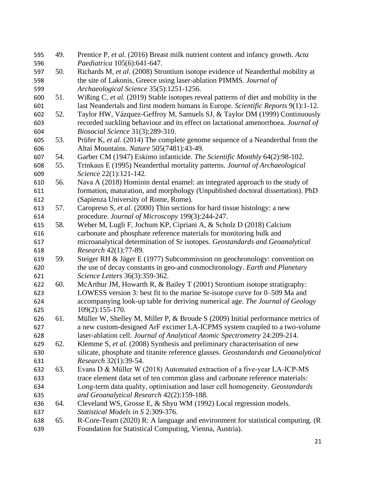| 595 | 49. | Prentice P, et al. (2016) Breast milk nutrient content and infancy growth. Acta     |
|-----|-----|-------------------------------------------------------------------------------------|
| 596 |     | Paediatrica 105(6):641-647.                                                         |
| 597 | 50. | Richards M, et al. (2008) Strontium isotope evidence of Neanderthal mobility at     |
| 598 |     | the site of Lakonis, Greece using laser-ablation PIMMS. Journal of                  |
| 599 |     | Archaeological Science 35(5):1251-1256.                                             |
| 600 | 51. | Wißing C, et al. (2019) Stable isotopes reveal patterns of diet and mobility in the |
| 601 |     | last Neandertals and first modern humans in Europe. Scientific Reports 9(1):1-12.   |
| 602 | 52. | Taylor HW, Vázquez-Geffroy M, Samuels SJ, & Taylor DM (1999) Continuously           |
| 603 |     | recorded suckling behaviour and its effect on lactational amenorrhoea. Journal of   |
| 604 |     | Biosocial Science 31(3):289-310.                                                    |
| 605 | 53. | Prüfer K, et al. (2014) The complete genome sequence of a Neanderthal from the      |
| 606 |     | Altai Mountains. Nature 505(7481):43-49.                                            |
| 607 | 54. | Garber CM (1947) Eskimo infanticide. The Scientific Monthly 64(2):98-102.           |
| 608 | 55. | Trinkaus E (1995) Neanderthal mortality patterns. Journal of Archaeological         |
| 609 |     | Science 22(1):121-142.                                                              |
| 610 | 56. | Nava A (2018) Hominin dental enamel: an integrated approach to the study of         |
| 611 |     | formation, maturation, and morphology (Unpublished doctoral dissertation). PhD      |
| 612 |     | (Sapienza University of Rome, Rome).                                                |
| 613 | 57. | Caropreso S, et al. (2000) Thin sections for hard tissue histology: a new           |
| 614 |     | procedure. Journal of Microscopy 199(3):244-247.                                    |
| 615 | 58. | Weber M, Lugli F, Jochum KP, Cipriani A, & Scholz D (2018) Calcium                  |
| 616 |     | carbonate and phosphate reference materials for monitoring bulk and                 |
| 617 |     | microanalytical determination of Sr isotopes. Geostandards and Geoanalytical        |
| 618 |     | Research 42(1):77-89.                                                               |
| 619 | 59. | Steiger RH & Jäger E (1977) Subcommission on geochronology: convention on           |
| 620 |     | the use of decay constants in geo-and cosmochronology. Earth and Planetary          |
| 621 |     | Science Letters 36(3):359-362.                                                      |
| 622 | 60. | McArthur JM, Howarth R, $\&$ Bailey T (2001) Strontium isotope stratigraphy:        |
| 623 |     | LOWESS version 3: best fit to the marine Sr-isotope curve for 0–509 Ma and          |
| 624 |     | accompanying look-up table for deriving numerical age. The Journal of Geology       |
| 625 |     | $109(2):155-170.$                                                                   |
| 626 | 61. | Müller W, Shelley M, Miller P, & Broude S (2009) Initial performance metrics of     |
| 627 |     | a new custom-designed ArF excimer LA-ICPMS system coupled to a two-volume           |
| 628 |     | laser-ablation cell. Journal of Analytical Atomic Spectrometry 24:209-214.          |
| 629 | 62. | Klemme S, et al. (2008) Synthesis and preliminary characterisation of new           |
| 630 |     | silicate, phosphate and titanite reference glasses. Geostandards and Geoanalytical  |
| 631 |     | Research 32(1):39-54.                                                               |
| 632 | 63. | Evans D & Müller W (2018) Automated extraction of a five-year LA-ICP-MS             |
| 633 |     | trace element data set of ten common glass and carbonate reference materials:       |
| 634 |     | Long-term data quality, optimisation and laser cell homogeneity. Geostandards       |
| 635 |     | and Geoanalytical Research 42(2):159-188.                                           |
| 636 | 64. | Cleveland WS, Grosse E, & Shyu WM (1992) Local regression models.                   |
| 637 |     | Statistical Models in S 2:309-376.                                                  |
| 638 | 65. | R-Core-Team (2020) R: A language and environment for statistical computing. (R)     |
| 639 |     | Foundation for Statistical Computing, Vienna, Austria).                             |